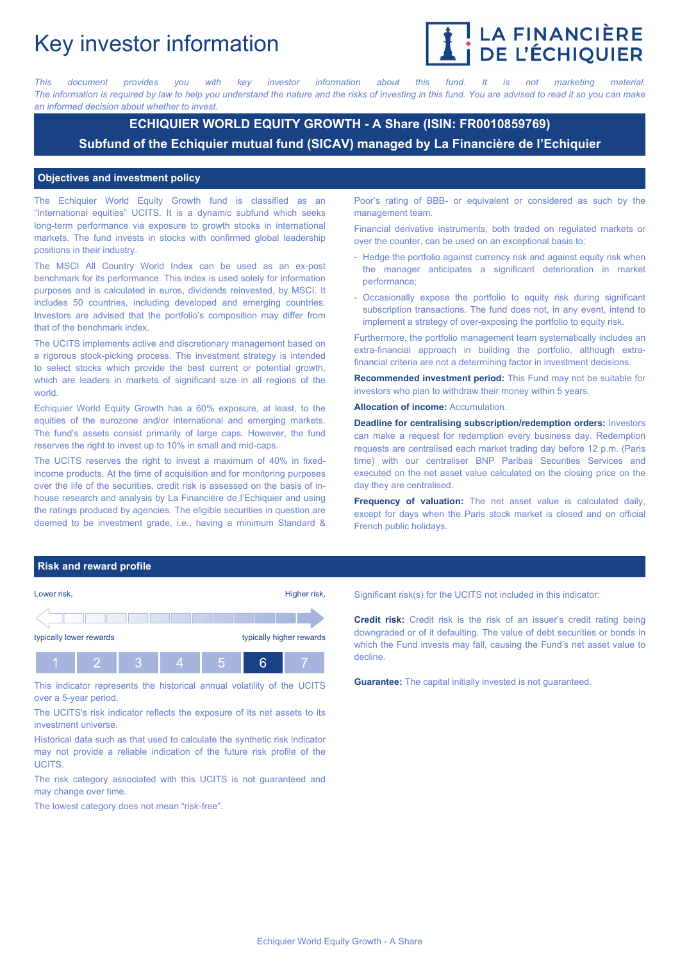# Key investor information



*This document provides you with key investor information about this fund. It is not marketing material.* The information is required by law to help you understand the nature and the risks of investing in this fund. You are advised to read it so you can make *an informed decision about whether to invest.*

# **ECHIQUIER WORLD EQUITY GROWTH - A Share (ISIN: FR0010859769) Subfund of the Echiquier mutual fund (SICAV) managed by La Financière de l'Echiquier**

#### **Objectives and investment policy**

The Echiquier World Equity Growth fund is classified as an "International equities" UCITS. It is a dynamic subfund which seeks long-term performance via exposure to growth stocks in international markets. The fund invests in stocks with confirmed global leadership positions in their industry.

The MSCI All Country World Index can be used as an ex-post benchmark for its performance. This index is used solely for information purposes and is calculated in euros, dividends reinvested, by MSCI. It includes 50 countries, including developed and emerging countries. Investors are advised that the portfolio's composition may differ from that of the benchmark index.

The UCITS implements active and discretionary management based on a rigorous stock-picking process. The investment strategy is intended to select stocks which provide the best current or potential growth, which are leaders in markets of significant size in all regions of the world.

Echiquier World Equity Growth has a 60% exposure, at least, to the equities of the eurozone and/or international and emerging markets. The fund's assets consist primarily of large caps. However, the fund reserves the right to invest up to 10% in small and mid-caps.

The UCITS reserves the right to invest a maximum of 40% in fixedincome products. At the time of acquisition and for monitoring purposes over the life of the securities, credit risk is assessed on the basis of inhouse research and analysis by La Financière de l'Echiquier and using the ratings produced by agencies. The eligible securities in question are deemed to be investment grade, i.e., having a minimum Standard &

Poor's rating of BBB- or equivalent or considered as such by the management team.

Financial derivative instruments, both traded on regulated markets or over the counter, can be used on an exceptional basis to:

- Hedge the portfolio against currency risk and against equity risk when the manager anticipates a significant deterioration in market performance;
- Occasionally expose the portfolio to equity risk during significant subscription transactions. The fund does not, in any event, intend to implement a strategy of over-exposing the portfolio to equity risk.

Furthermore, the portfolio management team systematically includes an extra-financial approach in building the portfolio, although extrafinancial criteria are not a determining factor in investment decisions.

**Recommended investment period:** This Fund may not be suitable for investors who plan to withdraw their money within 5 years.

**Allocation of income:** Accumulation.

**Deadline for centralising subscription/redemption orders:** Investors can make a request for redemption every business day. Redemption requests are centralised each market trading day before 12 p.m. (Paris time) with our centraliser BNP Paribas Securities Services and executed on the net asset value calculated on the closing price on the day they are centralised.

**Frequency of valuation:** The net asset value is calculated daily, except for days when the Paris stock market is closed and on official French public holidays.

#### **Risk and reward profile**



This indicator represents the historical annual volatility of the UCITS over a 5-year period.

The UCITS's risk indicator reflects the exposure of its net assets to its investment universe.

Historical data such as that used to calculate the synthetic risk indicator may not provide a reliable indication of the future risk profile of the UCITS.

The risk category associated with this UCITS is not guaranteed and may change over time.

The lowest category does not mean "risk-free".

Significant risk(s) for the UCITS not included in this indicator:

**Credit risk:** Credit risk is the risk of an issuer's credit rating being downgraded or of it defaulting. The value of debt securities or bonds in which the Fund invests may fall, causing the Fund's net asset value to decline.

**Guarantee:** The capital initially invested is not guaranteed.